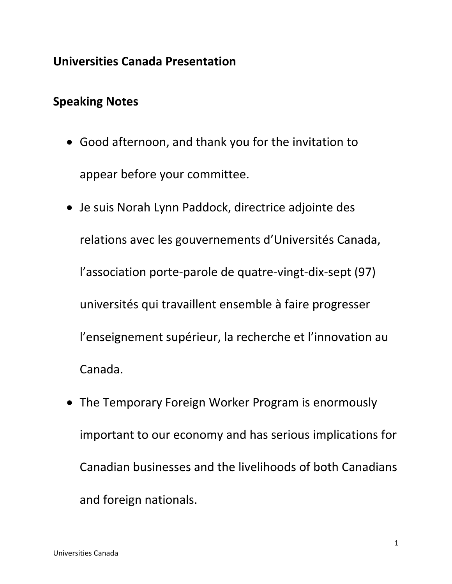# **Universities Canada Presentation**

## **Speaking Notes**

- Good afternoon, and thank you for the invitation to appear before your committee.
- Je suis Norah Lynn Paddock, directrice adjointe des relations avec les gouvernements d'Universités Canada, l'association porte-parole de quatre-vingt-dix-sept (97) universités qui travaillent ensemble à faire progresser l'enseignement supérieur, la recherche et l'innovation au Canada.
- The Temporary Foreign Worker Program is enormously important to our economy and has serious implications for Canadian businesses and the livelihoods of both Canadians and foreign nationals.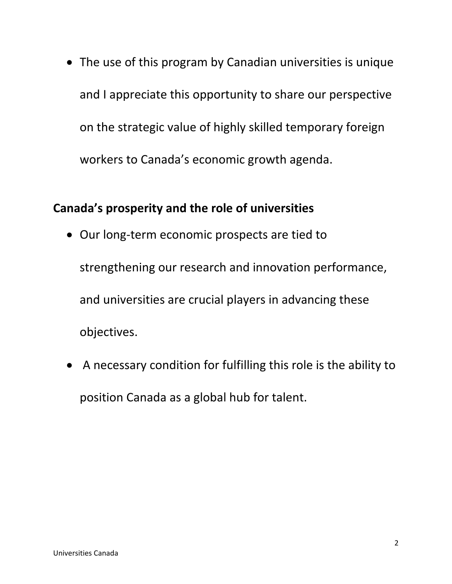• The use of this program by Canadian universities is unique and I appreciate this opportunity to share our perspective on the strategic value of highly skilled temporary foreign workers to Canada's economic growth agenda.

# **Canada's prosperity and the role of universities**

- Our long-term economic prospects are tied to strengthening our research and innovation performance, and universities are crucial players in advancing these objectives.
- A necessary condition for fulfilling this role is the ability to position Canada as a global hub for talent.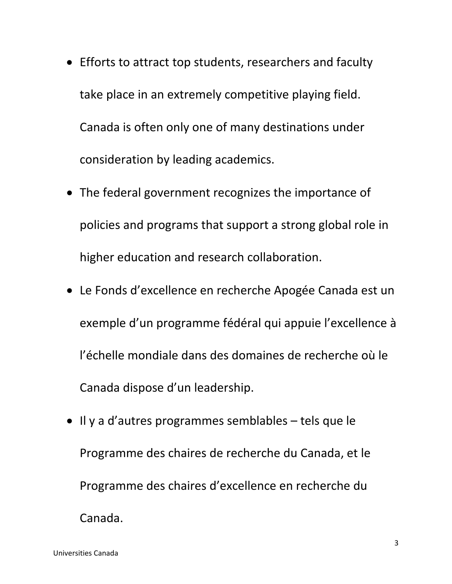- Efforts to attract top students, researchers and faculty take place in an extremely competitive playing field. Canada is often only one of many destinations under consideration by leading academics.
- The federal government recognizes the importance of policies and programs that support a strong global role in higher education and research collaboration.
- Le Fonds d'excellence en recherche Apogée Canada est un exemple d'un programme fédéral qui appuie l'excellence à l'échelle mondiale dans des domaines de recherche où le Canada dispose d'un leadership.
- Il y a d'autres programmes semblables tels que le Programme des chaires de recherche du Canada, et le Programme des chaires d'excellence en recherche du Canada.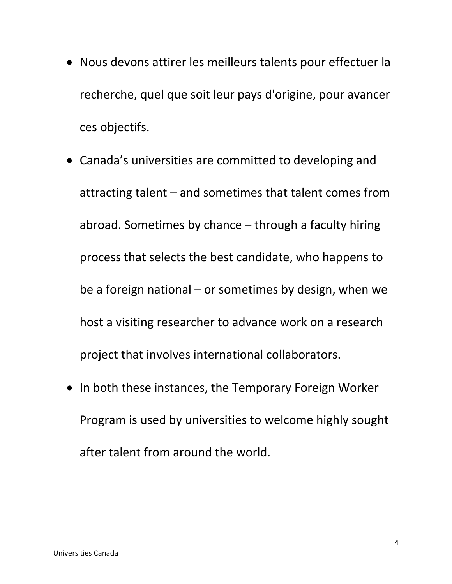- Nous devons attirer les meilleurs talents pour effectuer la recherche, quel que soit leur pays d'origine, pour avancer ces objectifs.
- Canada's universities are committed to developing and attracting talent – and sometimes that talent comes from abroad. Sometimes by chance – through a faculty hiring process that selects the best candidate, who happens to be a foreign national – or sometimes by design, when we host a visiting researcher to advance work on a research project that involves international collaborators.
- In both these instances, the Temporary Foreign Worker Program is used by universities to welcome highly sought after talent from around the world.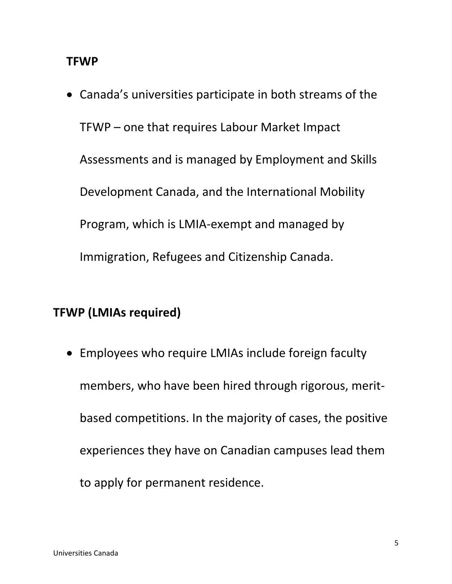#### **TFWP**

• Canada's universities participate in both streams of the TFWP – one that requires Labour Market Impact Assessments and is managed by Employment and Skills Development Canada, and the International Mobility Program, which is LMIA-exempt and managed by Immigration, Refugees and Citizenship Canada.

### **TFWP (LMIAs required)**

• Employees who require LMIAs include foreign faculty members, who have been hired through rigorous, meritbased competitions. In the majority of cases, the positive experiences they have on Canadian campuses lead them to apply for permanent residence.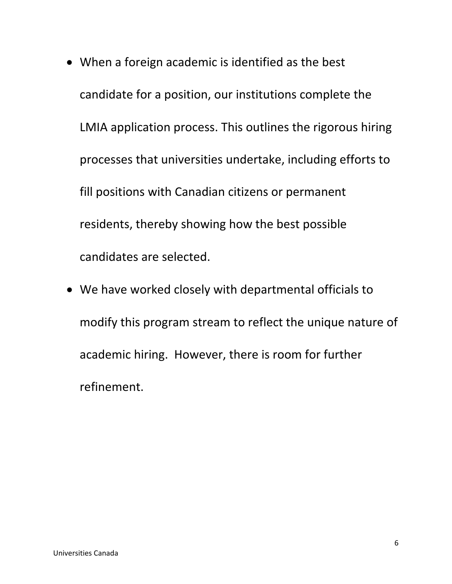- When a foreign academic is identified as the best candidate for a position, our institutions complete the LMIA application process. This outlines the rigorous hiring processes that universities undertake, including efforts to fill positions with Canadian citizens or permanent residents, thereby showing how the best possible candidates are selected.
- We have worked closely with departmental officials to modify this program stream to reflect the unique nature of academic hiring. However, there is room for further refinement.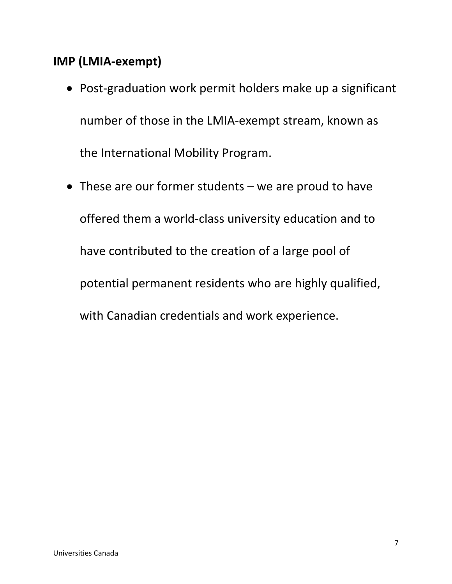# **IMP (LMIA-exempt)**

- Post-graduation work permit holders make up a significant number of those in the LMIA-exempt stream, known as the International Mobility Program.
- These are our former students we are proud to have offered them a world-class university education and to have contributed to the creation of a large pool of potential permanent residents who are highly qualified, with Canadian credentials and work experience.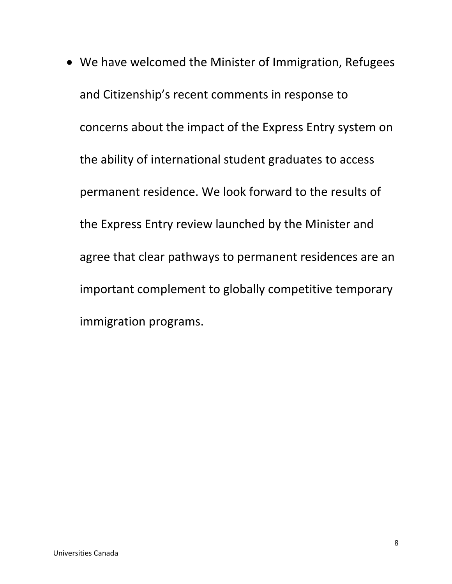• We have welcomed the Minister of Immigration, Refugees and Citizenship's recent comments in response to concerns about the impact of the Express Entry system on the ability of international student graduates to access permanent residence. We look forward to the results of the Express Entry review launched by the Minister and agree that clear pathways to permanent residences are an important complement to globally competitive temporary immigration programs.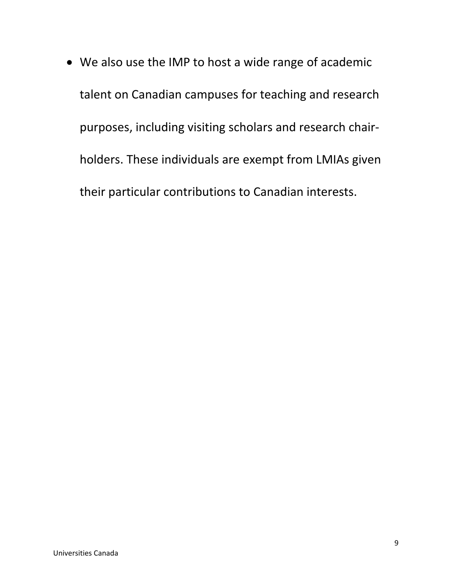• We also use the IMP to host a wide range of academic talent on Canadian campuses for teaching and research purposes, including visiting scholars and research chairholders. These individuals are exempt from LMIAs given their particular contributions to Canadian interests.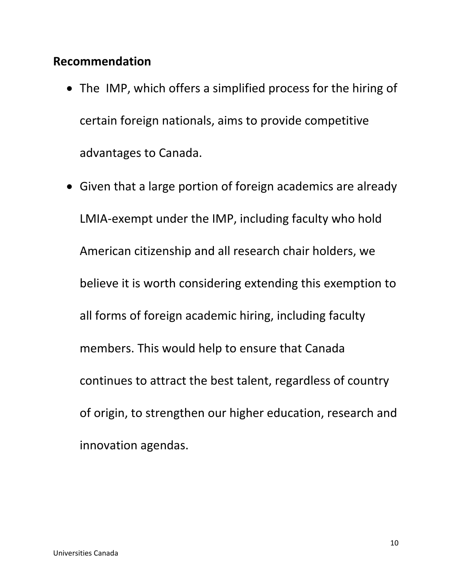# **Recommendation**

- The IMP, which offers a simplified process for the hiring of certain foreign nationals, aims to provide competitive advantages to Canada.
- Given that a large portion of foreign academics are already LMIA-exempt under the IMP, including faculty who hold American citizenship and all research chair holders, we believe it is worth considering extending this exemption to all forms of foreign academic hiring, including faculty members. This would help to ensure that Canada continues to attract the best talent, regardless of country of origin, to strengthen our higher education, research and innovation agendas.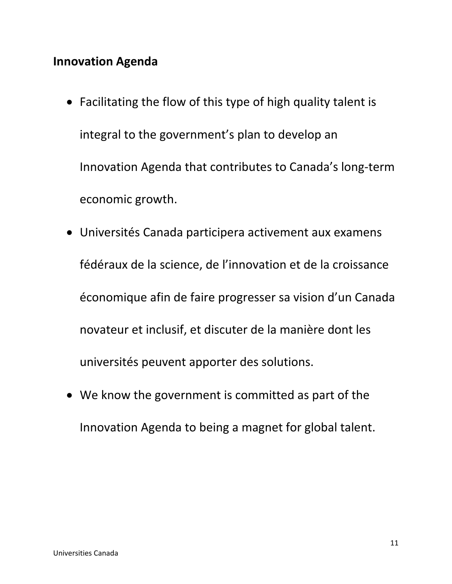## **Innovation Agenda**

- Facilitating the flow of this type of high quality talent is integral to the government's plan to develop an Innovation Agenda that contributes to Canada's long-term economic growth.
- Universités Canada participera activement aux examens fédéraux de la science, de l'innovation et de la croissance économique afin de faire progresser sa vision d'un Canada novateur et inclusif, et discuter de la manière dont les universités peuvent apporter des solutions.
- We know the government is committed as part of the Innovation Agenda to being a magnet for global talent.